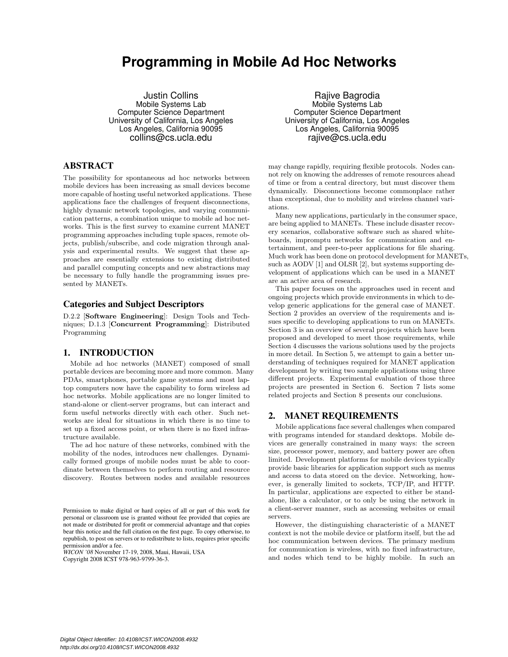# **Programming in Mobile Ad Hoc Networks**

Justin Collins Mobile Systems Lab Computer Science Department University of California, Los Angeles Los Angeles, California 90095 collins@cs.ucla.edu

# ABSTRACT

The possibility for spontaneous ad hoc networks between mobile devices has been increasing as small devices become more capable of hosting useful networked applications. These applications face the challenges of frequent disconnections, highly dynamic network topologies, and varying communication patterns, a combination unique to mobile ad hoc networks. This is the first survey to examine current MANET programming approaches including tuple spaces, remote objects, publish/subscribe, and code migration through analysis and experimental results. We suggest that these approaches are essentially extensions to existing distributed and parallel computing concepts and new abstractions may be necessary to fully handle the programming issues presented by MANETs.

### Categories and Subject Descriptors

D.2.2 [Software Engineering]: Design Tools and Techniques; D.1.3 [Concurrent Programming]: Distributed Programming

### 1. INTRODUCTION

Mobile ad hoc networks (MANET) composed of small portable devices are becoming more and more common. Many PDAs, smartphones, portable game systems and most laptop computers now have the capability to form wireless ad hoc networks. Mobile applications are no longer limited to stand-alone or client-server programs, but can interact and form useful networks directly with each other. Such networks are ideal for situations in which there is no time to set up a fixed access point, or when there is no fixed infrastructure available.

The ad hoc nature of these networks, combined with the mobility of the nodes, introduces new challenges. Dynamically formed groups of mobile nodes must be able to coordinate between themselves to perform routing and resource discovery. Routes between nodes and available resources

*WICON '08* November 17-19, 2008, Maui, Hawaii, USA Copyright 2008 ICST 978-963-9799-36-3.

Rajive Bagrodia Mobile Systems Lab Computer Science Department University of California, Los Angeles Los Angeles, California 90095 rajive@cs.ucla.edu

may change rapidly, requiring flexible protocols. Nodes cannot rely on knowing the addresses of remote resources ahead of time or from a central directory, but must discover them dynamically. Disconnections become commonplace rather than exceptional, due to mobility and wireless channel variations.

Many new applications, particularly in the consumer space, are being applied to MANETs. These include disaster recovery scenarios, collaborative software such as shared whiteboards, impromptu networks for communication and entertainment, and peer-to-peer applications for file sharing. Much work has been done on protocol development for MANETs, such as AODV [1] and OLSR [2], but systems supporting development of applications which can be used in a MANET are an active area of research.

This paper focuses on the approaches used in recent and ongoing projects which provide environments in which to develop generic applications for the general case of MANET. Section 2 provides an overview of the requirements and issues specific to developing applications to run on MANETs. Section 3 is an overview of several projects which have been proposed and developed to meet those requirements, while Section 4 discusses the various solutions used by the projects in more detail. In Section 5, we attempt to gain a better understanding of techniques required for MANET application development by writing two sample applications using three different projects. Experimental evaluation of those three projects are presented in Section 6. Section 7 lists some related projects and Section 8 presents our conclusions.

### 2. MANET REQUIREMENTS

Mobile applications face several challenges when compared with programs intended for standard desktops. Mobile devices are generally constrained in many ways: the screen size, processor power, memory, and battery power are often limited. Development platforms for mobile devices typically provide basic libraries for application support such as menus and access to data stored on the device. Networking, however, is generally limited to sockets, TCP/IP, and HTTP. In particular, applications are expected to either be standalone, like a calculator, or to only be using the network in a client-server manner, such as accessing websites or email servers.

However, the distinguishing characteristic of a MANET context is not the mobile device or platform itself, but the ad hoc communication between devices. The primary medium for communication is wireless, with no fixed infrastructure, and nodes which tend to be highly mobile. In such an

Permission to make digital or hard copies of all or part of this work for personal or classroom use is granted without fee provided that copies are not made or distributed for profit or commercial advantage and that copies bear this notice and the full citation on the first page. To copy otherwise, to republish, to post on servers or to redistribute to lists, requires prior specific permission and/or a fee.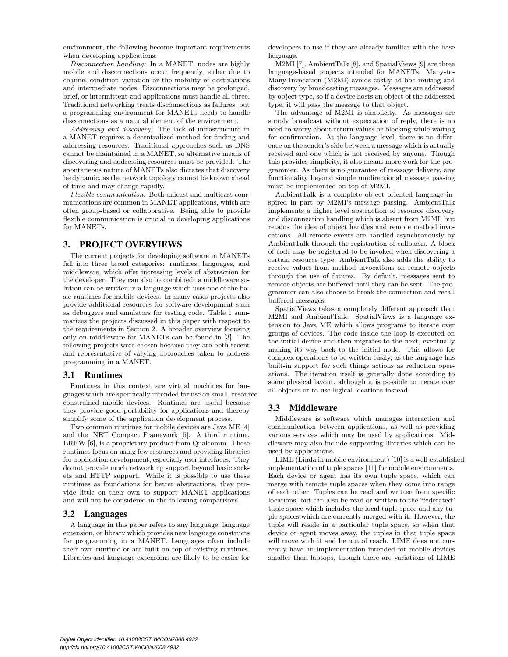environment, the following become important requirements when developing applications:

Disconnection handling: In a MANET, nodes are highly mobile and disconnections occur frequently, either due to channel condition variation or the mobility of destinations and intermediate nodes. Disconnections may be prolonged, brief, or intermittent and applications must handle all three. Traditional networking treats disconnections as failures, but a programming environment for MANETs needs to handle disconnections as a natural element of the environment.

Addressing and discovery: The lack of infrastructure in a MANET requires a decentralized method for finding and addressing resources. Traditional approaches such as DNS cannot be maintained in a MANET, so alternative means of discovering and addressing resources must be provided. The spontaneous nature of MANETs also dictates that discovery be dynamic, as the network topology cannot be known ahead of time and may change rapidly.

Flexible communication: Both unicast and multicast communications are common in MANET applications, which are often group-based or collaborative. Being able to provide flexible communication is crucial to developing applications for MANETs.

# 3. PROJECT OVERVIEWS

The current projects for developing software in MANETs fall into three broad categories: runtimes, languages, and middleware, which offer increasing levels of abstraction for the developer. They can also be combined: a middleware solution can be written in a language which uses one of the basic runtimes for mobile devices. In many cases projects also provide additional resources for software development such as debuggers and emulators for testing code. Table 1 summarizes the projects discussed in this paper with respect to the requirements in Section 2. A broader overview focusing only on middleware for MANETs can be found in [3]. The following projects were chosen because they are both recent and representative of varying approaches taken to address programming in a MANET.

# 3.1 Runtimes

Runtimes in this context are virtual machines for languages which are specifically intended for use on small, resourceconstrained mobile devices. Runtimes are useful because they provide good portability for applications and thereby simplify some of the application development process.

Two common runtimes for mobile devices are Java ME [4] and the .NET Compact Framework [5]. A third runtime, BREW [6], is a proprietary product from Qualcomm. These runtimes focus on using few resources and providing libraries for application development, especially user interfaces. They do not provide much networking support beyond basic sockets and HTTP support. While it is possible to use these runtimes as foundations for better abstractions, they provide little on their own to support MANET applications and will not be considered in the following comparisons.

# 3.2 Languages

A language in this paper refers to any language, language extension, or library which provides new language constructs for programming in a MANET. Languages often include their own runtime or are built on top of existing runtimes. Libraries and language extensions are likely to be easier for

developers to use if they are already familiar with the base language.

M2MI [7], AmbientTalk [8], and SpatialViews [9] are three language-based projects intended for MANETs. Many-to-Many Invocation (M2MI) avoids costly ad hoc routing and discovery by broadcasting messages. Messages are addressed by object type, so if a device hosts an object of the addressed type, it will pass the message to that object.

The advantage of M2MI is simplicity. As messages are simply broadcast without expectation of reply, there is no need to worry about return values or blocking while waiting for confirmation. At the language level, there is no difference on the sender's side between a message which is actually received and one which is not received by anyone. Though this provides simplicity, it also means more work for the programmer. As there is no guarantee of message delivery, any functionality beyond simple unidirectional message passing must be implemented on top of M2MI.

AmbientTalk is a complete object oriented language inspired in part by M2MI's message passing. AmbientTalk implements a higher level abstraction of resource discovery and disconnection handling which is absent from M2MI, but retains the idea of object handles and remote method invocations. All remote events are handled asynchronously by AmbientTalk through the registration of callbacks. A block of code may be registered to be invoked when discovering a certain resource type. AmbientTalk also adds the ability to receive values from method invocations on remote objects through the use of futures. By default, messages sent to remote objects are buffered until they can be sent. The programmer can also choose to break the connection and recall buffered messages.

SpatialViews takes a completely different approach than M2MI and AmbientTalk. SpatialViews is a language extension to Java ME which allows programs to iterate over groups of devices. The code inside the loop is executed on the initial device and then migrates to the next, eventually making its way back to the initial node. This allows for complex operations to be written easily, as the language has built-in support for such things actions as reduction operations. The iteration itself is generally done according to some physical layout, although it is possible to iterate over all objects or to use logical locations instead.

# 3.3 Middleware

Middleware is software which manages interaction and communication between applications, as well as providing various services which may be used by applications. Middleware may also include supporting libraries which can be used by applications.

LIME (Linda in mobile environment) [10] is a well-established implementation of tuple spaces [11] for mobile environments. Each device or agent has its own tuple space, which can merge with remote tuple spaces when they come into range of each other. Tuples can be read and written from specific locations, but can also be read or written to the "federated" tuple space which includes the local tuple space and any tuple spaces which are currently merged with it. However, the tuple will reside in a particular tuple space, so when that device or agent moves away, the tuples in that tuple space will move with it and be out of reach. LIME does not currently have an implementation intended for mobile devices smaller than laptops, though there are variations of LIME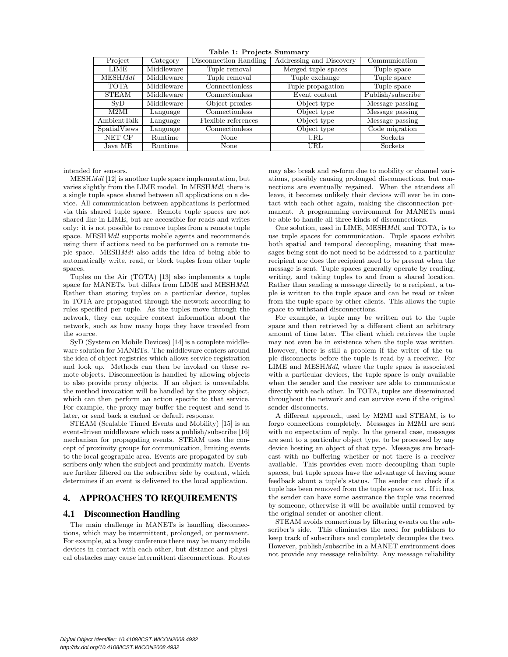| Project        | Category   | Disconnection Handling | Addressing and Discovery | Communication     |
|----------------|------------|------------------------|--------------------------|-------------------|
| LIME           | Middleware | Tuple removal          | Merged tuple spaces      | Tuple space       |
| <b>MESHMdl</b> | Middleware | Tuple removal          | Tuple exchange           | Tuple space       |
| <b>TOTA</b>    | Middleware | Connectionless         | Tuple propagation        | Tuple space       |
| <b>STEAM</b>   | Middleware | Connectionless         | Event content            | Publish/subscribe |
| SVD            | Middleware | Object proxies         | Object type              | Message passing   |
| M2MI           | Language   | Connectionless         | Object type              | Message passing   |
| AmbientTalk    | Language   | Flexible references    | Object type              | Message passing   |
| SpatialViews   | Language   | Connectionless         | Object type              | Code migration    |
| NET CF.        | Runtime    | None                   | URL                      | Sockets           |
| Java ME        | Runtime    | None                   | URL                      | Sockets           |

Table 1: Projects Summary

intended for sensors.

MESHMdl [12] is another tuple space implementation, but varies slightly from the LIME model. In MESHMdl, there is a single tuple space shared between all applications on a device. All communication between applications is performed via this shared tuple space. Remote tuple spaces are not shared like in LIME, but are accessible for reads and writes only: it is not possible to remove tuples from a remote tuple space. MESHMdl supports mobile agents and recommends using them if actions need to be performed on a remote tuple space. MESHMdl also adds the idea of being able to automatically write, read, or block tuples from other tuple spaces.

Tuples on the Air (TOTA) [13] also implements a tuple space for MANETs, but differs from LIME and MESHMdl. Rather than storing tuples on a particular device, tuples in TOTA are propagated through the network according to rules specified per tuple. As the tuples move through the network, they can acquire context information about the network, such as how many hops they have traveled from the source.

SyD (System on Mobile Devices) [14] is a complete middleware solution for MANETs. The middleware centers around the idea of object registries which allows service registration and look up. Methods can then be invoked on these remote objects. Disconnection is handled by allowing objects to also provide proxy objects. If an object is unavailable, the method invocation will be handled by the proxy object, which can then perform an action specific to that service. For example, the proxy may buffer the request and send it later, or send back a cached or default response.

STEAM (Scalable Timed Events and Mobility) [15] is an event-driven middleware which uses a publish/subscribe [16] mechanism for propagating events. STEAM uses the concept of proximity groups for communication, limiting events to the local geographic area. Events are propagated by subscribers only when the subject and proximity match. Events are further filtered on the subscriber side by content, which determines if an event is delivered to the local application.

### 4. APPROACHES TO REQUIREMENTS

### 4.1 Disconnection Handling

The main challenge in MANETs is handling disconnections, which may be intermittent, prolonged, or permanent. For example, at a busy conference there may be many mobile devices in contact with each other, but distance and physical obstacles may cause intermittent disconnections. Routes

may also break and re-form due to mobility or channel variations, possibly causing prolonged disconnections, but connections are eventually regained. When the attendees all leave, it becomes unlikely their devices will ever be in contact with each other again, making the disconnection permanent. A programming environment for MANETs must be able to handle all three kinds of disconnections.

One solution, used in LIME, MESHMdl, and TOTA, is to use tuple spaces for communication. Tuple spaces exhibit both spatial and temporal decoupling, meaning that messages being sent do not need to be addressed to a particular recipient nor does the recipient need to be present when the message is sent. Tuple spaces generally operate by reading, writing, and taking tuples to and from a shared location. Rather than sending a message directly to a recipient, a tuple is written to the tuple space and can be read or taken from the tuple space by other clients. This allows the tuple space to withstand disconnections.

For example, a tuple may be written out to the tuple space and then retrieved by a different client an arbitrary amount of time later. The client which retrieves the tuple may not even be in existence when the tuple was written. However, there is still a problem if the writer of the tuple disconnects before the tuple is read by a receiver. For LIME and MESHMdl, where the tuple space is associated with a particular devices, the tuple space is only available when the sender and the receiver are able to communicate directly with each other. In TOTA, tuples are disseminated throughout the network and can survive even if the original sender disconnects.

A different approach, used by M2MI and STEAM, is to forgo connections completely. Messages in M2MI are sent with no expectation of reply. In the general case, messages are sent to a particular object type, to be processed by any device hosting an object of that type. Messages are broadcast with no buffering whether or not there is a receiver available. This provides even more decoupling than tuple spaces, but tuple spaces have the advantage of having some feedback about a tuple's status. The sender can check if a tuple has been removed from the tuple space or not. If it has, the sender can have some assurance the tuple was received by someone, otherwise it will be available until removed by the original sender or another client.

STEAM avoids connections by filtering events on the subscriber's side. This eliminates the need for publishers to keep track of subscribers and completely decouples the two. However, publish/subscribe in a MANET environment does not provide any message reliability. Any message reliability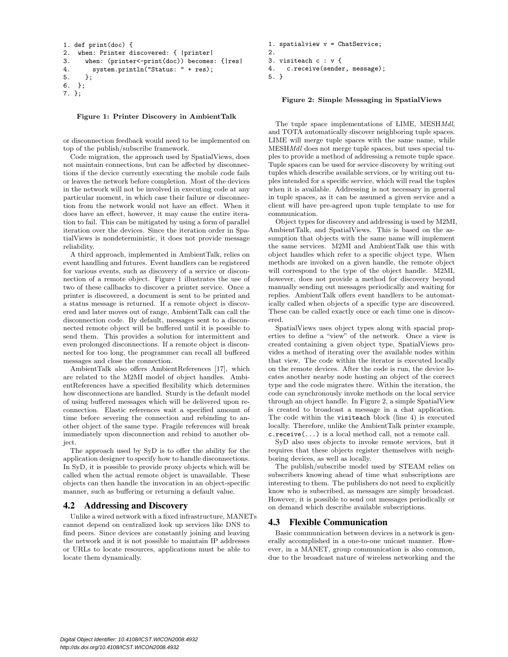```
1. def print(doc) {
2. when: Printer discovered: { |printer|
3. when: (printer<-print(doc)) becomes: {|res|
4. system.println("Status: " + res);
5. };
6. };
7. };
```

```
Figure 1: Printer Discovery in AmbientTalk
```
or disconnection feedback would need to be implemented on top of the publish/subscribe framework.

Code migration, the approach used by SpatialViews, does not maintain connections, but can be affected by disconnections if the device currently executing the mobile code fails or leaves the network before completion. Most of the devices in the network will not be involved in executing code at any particular moment, in which case their failure or disconnection from the network would not have an effect. When it does have an effect, however, it may cause the entire iteration to fail. This can be mitigated by using a form of parallel iteration over the devices. Since the iteration order in SpatialViews is nondeterministic, it does not provide message reliability.

A third approach, implemented in AmbientTalk, relies on event handling and futures. Event handlers can be registered for various events, such as discovery of a service or disconnection of a remote object. Figure 1 illustrates the use of two of these callbacks to discover a printer service. Once a printer is discovered, a document is sent to be printed and a status message is returned. If a remote object is discovered and later moves out of range, AmbientTalk can call the disconnection code. By default, messages sent to a disconnected remote object will be buffered until it is possible to send them. This provides a solution for intermittent and even prolonged disconnections. If a remote object is disconnected for too long, the programmer can recall all buffered messages and close the connection.

AmbientTalk also offers AmbientReferences [17], which are related to the M2MI model of object handles. AmbientReferences have a specified flexibility which determines how disconnections are handled. Sturdy is the default model of using buffered messages which will be delivered upon reconnection. Elastic references wait a specified amount of time before severing the connection and rebinding to another object of the same type. Fragile references will break immediately upon disconnection and rebind to another object.

The approach used by SyD is to offer the ability for the application designer to specify how to handle disconnections. In SyD, it is possible to provide proxy objects which will be called when the actual remote object is unavailable. These objects can then handle the invocation in an object-specific manner, such as buffering or returning a default value.

# 4.2 Addressing and Discovery

Unlike a wired network with a fixed infrastructure, MANETs cannot depend on centralized look up services like DNS to find peers. Since devices are constantly joining and leaving the network and it is not possible to maintain IP addresses or URLs to locate resources, applications must be able to locate them dynamically.

```
1. spatialview v = ChatService;
2.
3. visiteach c : v {
4. c.receive(sender, message);
5. }
```
### Figure 2: Simple Messaging in SpatialViews

The tuple space implementations of LIME, MESHMdl, and TOTA automatically discover neighboring tuple spaces. LIME will merge tuple spaces with the same name, while MESHMdl does not merge tuple spaces, but uses special tuples to provide a method of addressing a remote tuple space. Tuple spaces can be used for service discovery by writing out tuples which describe available services, or by writing out tuples intended for a specific service, which will read the tuples when it is available. Addressing is not necessary in general in tuple spaces, as it can be assumed a given service and a client will have pre-agreed upon tuple template to use for communication.

Object types for discovery and addressing is used by M2MI, AmbientTalk, and SpatialViews. This is based on the assumption that objects with the same name will implement the same services. M2MI and AmbientTalk use this with object handles which refer to a specific object type. When methods are invoked on a given handle, the remote object will correspond to the type of the object handle. M2MI, however, does not provide a method for discovery beyond manually sending out messages periodically and waiting for replies. AmbientTalk offers event handlers to be automatically called when objects of a specific type are discovered. These can be called exactly once or each time one is discovered.

SpatialViews uses object types along with spacial properties to define a "view" of the network. Once a view is created containing a given object type, SpatialViews provides a method of iterating over the available nodes within that view. The code within the iterator is executed locally on the remote devices. After the code is run, the device locates another nearby node hosting an object of the correct type and the code migrates there. Within the iteration, the code can synchronously invoke methods on the local service through an object handle. In Figure 2, a simple SpatialView is created to broadcast a message in a chat application. The code within the visiteach block (line 4) is executed locally. Therefore, unlike the AmbientTalk printer example, c.receive(...) is a local method call, not a remote call.

SyD also uses objects to invoke remote services, but it requires that these objects register themselves with neighboring devices, as well as locally.

The publish/subscribe model used by STEAM relies on subscribers knowing ahead of time what subscriptions are interesting to them. The publishers do not need to explicitly know who is subscribed, as messages are simply broadcast. However, it is possible to send out messages periodically or on demand which describe available subscriptions.

# 4.3 Flexible Communication

Basic communication between devices in a network is generally accomplished in a one-to-one unicast manner. However, in a MANET, group communication is also common, due to the broadcast nature of wireless networking and the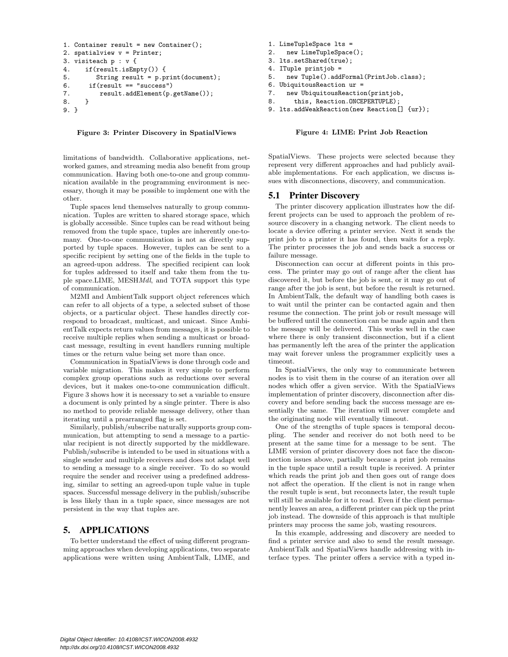```
1. Container result = new Container();
2. spatialview v = Printer;
3. visiteach p : v {
4. if(result.isEmpty()) {
5. String result = p.print(document);
6. if (result == "success")
7. result.addElement(p.getName());
8. }
9. }
```
#### Figure 3: Printer Discovery in SpatialViews

limitations of bandwidth. Collaborative applications, networked games, and streaming media also benefit from group communication. Having both one-to-one and group communication available in the programming environment is necessary, though it may be possible to implement one with the other.

Tuple spaces lend themselves naturally to group communication. Tuples are written to shared storage space, which is globally accessible. Since tuples can be read without being removed from the tuple space, tuples are inherently one-tomany. One-to-one communication is not as directly supported by tuple spaces. However, tuples can be sent to a specific recipient by setting one of the fields in the tuple to an agreed-upon address. The specified recipient can look for tuples addressed to itself and take them from the tuple space.LIME, MESHMdl, and TOTA support this type of communication.

M2MI and AmbientTalk support object references which can refer to all objects of a type, a selected subset of those objects, or a particular object. These handles directly correspond to broadcast, multicast, and unicast. Since AmbientTalk expects return values from messages, it is possible to receive multiple replies when sending a multicast or broadcast message, resulting in event handlers running multiple times or the return value being set more than once.

Communication in SpatialViews is done through code and variable migration. This makes it very simple to perform complex group operations such as reductions over several devices, but it makes one-to-one communication difficult. Figure 3 shows how it is necessary to set a variable to ensure a document is only printed by a single printer. There is also no method to provide reliable message delivery, other than iterating until a prearranged flag is set.

Similarly, publish/subscribe naturally supports group communication, but attempting to send a message to a particular recipient is not directly supported by the middleware. Publish/subscribe is intended to be used in situations with a single sender and multiple receivers and does not adapt well to sending a message to a single receiver. To do so would require the sender and receiver using a predefined addressing, similar to setting an agreed-upon tuple value in tuple spaces. Successful message delivery in the publish/subscribe is less likely than in a tuple space, since messages are not persistent in the way that tuples are.

### 5. APPLICATIONS

To better understand the effect of using different programming approaches when developing applications, two separate applications were written using AmbientTalk, LIME, and

- 1. LimeTupleSpace lts =
- 2. new LimeTupleSpace();
- 3. lts.setShared(true);
- 4. ITuple printjob =
- 5. new Tuple().addFormal(PrintJob.class);
- 6. UbiquitousReaction ur =
- 7. new UbiquitousReaction(printjob,
- 8. this, Reaction.ONCEPERTUPLE);
- 9. lts.addWeakReaction(new Reaction[]  $\{ur\}$ );

#### Figure 4: LIME: Print Job Reaction

SpatialViews. These projects were selected because they represent very different approaches and had publicly available implementations. For each application, we discuss issues with disconnections, discovery, and communication.

### 5.1 Printer Discovery

The printer discovery application illustrates how the different projects can be used to approach the problem of resource discovery in a changing network. The client needs to locate a device offering a printer service. Next it sends the print job to a printer it has found, then waits for a reply. The printer processes the job and sends back a success or failure message.

Disconnection can occur at different points in this process. The printer may go out of range after the client has discovered it, but before the job is sent, or it may go out of range after the job is sent, but before the result is returned. In AmbientTalk, the default way of handling both cases is to wait until the printer can be contacted again and then resume the connection. The print job or result message will be buffered until the connection can be made again and then the message will be delivered. This works well in the case where there is only transient disconnection, but if a client has permanently left the area of the printer the application may wait forever unless the programmer explicitly uses a timeout.

In SpatialViews, the only way to communicate between nodes is to visit them in the course of an iteration over all nodes which offer a given service. With the SpatialViews implementation of printer discovery, disconnection after discovery and before sending back the success message are essentially the same. The iteration will never complete and the originating node will eventually timeout.

One of the strengths of tuple spaces is temporal decoupling. The sender and receiver do not both need to be present at the same time for a message to be sent. The LIME version of printer discovery does not face the disconnection issues above, partially because a print job remains in the tuple space until a result tuple is received. A printer which reads the print job and then goes out of range does not affect the operation. If the client is not in range when the result tuple is sent, but reconnects later, the result tuple will still be available for it to read. Even if the client permanently leaves an area, a different printer can pick up the print job instead. The downside of this approach is that multiple printers may process the same job, wasting resources.

In this example, addressing and discovery are needed to find a printer service and also to send the result message. AmbientTalk and SpatialViews handle addressing with interface types. The printer offers a service with a typed in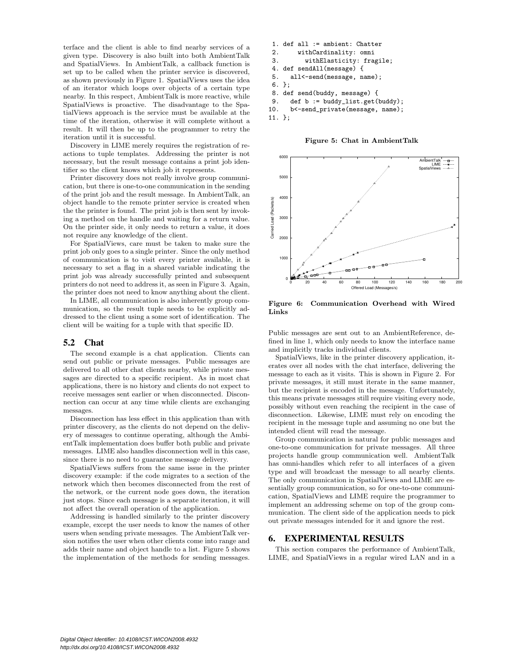terface and the client is able to find nearby services of a given type. Discovery is also built into both AmbientTalk and SpatialViews. In AmbientTalk, a callback function is set up to be called when the printer service is discovered, as shown previously in Figure 1. SpatialViews uses the idea of an iterator which loops over objects of a certain type nearby. In this respect, AmbientTalk is more reactive, while SpatialViews is proactive. The disadvantage to the SpatialViews approach is the service must be available at the time of the iteration, otherwise it will complete without a result. It will then be up to the programmer to retry the iteration until it is successful.

Discovery in LIME merely requires the registration of reactions to tuple templates. Addressing the printer is not necessary, but the result message contains a print job identifier so the client knows which job it represents.

Printer discovery does not really involve group communication, but there is one-to-one communication in the sending of the print job and the result message. In AmbientTalk, an object handle to the remote printer service is created when the the printer is found. The print job is then sent by invoking a method on the handle and waiting for a return value. On the printer side, it only needs to return a value, it does not require any knowledge of the client.

For SpatialViews, care must be taken to make sure the print job only goes to a single printer. Since the only method of communication is to visit every printer available, it is necessary to set a flag in a shared variable indicating the print job was already successfully printed and subsequent printers do not need to address it, as seen in Figure 3. Again, the printer does not need to know anything about the client.

In LIME, all communication is also inherently group communication, so the result tuple needs to be explicitly addressed to the client using a some sort of identification. The client will be waiting for a tuple with that specific ID.

### 5.2 Chat

The second example is a chat application. Clients can send out public or private messages. Public messages are delivered to all other chat clients nearby, while private messages are directed to a specific recipient. As in most chat applications, there is no history and clients do not expect to receive messages sent earlier or when disconnected. Disconnection can occur at any time while clients are exchanging messages.

Disconnection has less effect in this application than with printer discovery, as the clients do not depend on the delivery of messages to continue operating, although the AmbientTalk implementation does buffer both public and private messages. LIME also handles disconnection well in this case, since there is no need to guarantee message delivery.

SpatialViews suffers from the same issue in the printer discovery example: if the code migrates to a section of the network which then becomes disconnected from the rest of the network, or the current node goes down, the iteration just stops. Since each message is a separate iteration, it will not affect the overall operation of the application.

Addressing is handled similarly to the printer discovery example, except the user needs to know the names of other users when sending private messages. The AmbientTalk version notifies the user when other clients come into range and adds their name and object handle to a list. Figure 5 shows the implementation of the methods for sending messages.

1. def all := ambient: Chatter 2. withCardinality: omni 3. withElasticity: fragile; 4. def sendAll(message) { 5. all<-send(message, name); 6. }; 8. def send(buddy, message) { 9. def b := buddy\_list.get(buddy); 10. b<-send\_private(message, name);



Figure 5: Chat in AmbientTalk



Figure 6: Communication Overhead with Wired Links

Public messages are sent out to an AmbientReference, defined in line 1, which only needs to know the interface name and implicitly tracks individual clients.

SpatialViews, like in the printer discovery application, iterates over all nodes with the chat interface, delivering the message to each as it visits. This is shown in Figure 2. For private messages, it still must iterate in the same manner, but the recipient is encoded in the message. Unfortunately, this means private messages still require visiting every node, possibly without even reaching the recipient in the case of disconnection. Likewise, LIME must rely on encoding the recipient in the message tuple and assuming no one but the intended client will read the message.

Group communication is natural for public messages and one-to-one communication for private messages. All three projects handle group communication well. AmbientTalk has omni-handles which refer to all interfaces of a given type and will broadcast the message to all nearby clients. The only communication in SpatialViews and LIME are essentially group communication, so for one-to-one communication, SpatialViews and LIME require the programmer to implement an addressing scheme on top of the group communication. The client side of the application needs to pick out private messages intended for it and ignore the rest.

# 6. EXPERIMENTAL RESULTS

This section compares the performance of AmbientTalk, LIME, and SpatialViews in a regular wired LAN and in a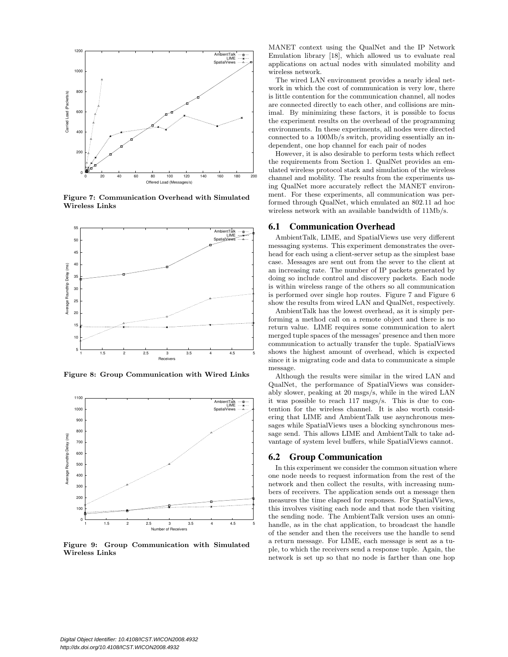

Figure 7: Communication Overhead with Simulated Wireless Links



Figure 8: Group Communication with Wired Links



Figure 9: Group Communication with Simulated Wireless Links

MANET context using the QualNet and the IP Network Emulation library [18], which allowed us to evaluate real applications on actual nodes with simulated mobility and wireless network.

The wired LAN environment provides a nearly ideal network in which the cost of communication is very low, there is little contention for the communication channel, all nodes are connected directly to each other, and collisions are minimal. By minimizing these factors, it is possible to focus the experiment results on the overhead of the programming environments. In these experiments, all nodes were directed connected to a 100Mb/s switch, providing essentially an independent, one hop channel for each pair of nodes

However, it is also desirable to perform tests which reflect the requirements from Section 1. QualNet provides an emulated wireless protocol stack and simulation of the wireless channel and mobility. The results from the experiments using QualNet more accurately reflect the MANET environment. For these experiments, all communication was performed through QualNet, which emulated an 802.11 ad hoc wireless network with an available bandwidth of 11Mb/s.

### 6.1 Communication Overhead

AmbientTalk, LIME, and SpatialViews use very different messaging systems. This experiment demonstrates the overhead for each using a client-server setup as the simplest base case. Messages are sent out from the sever to the client at an increasing rate. The number of IP packets generated by doing so include control and discovery packets. Each node is within wireless range of the others so all communication is performed over single hop routes. Figure 7 and Figure 6 show the results from wired LAN and QualNet, respectively.

AmbientTalk has the lowest overhead, as it is simply performing a method call on a remote object and there is no return value. LIME requires some communication to alert merged tuple spaces of the messages' presence and then more communication to actually transfer the tuple. SpatialViews shows the highest amount of overhead, which is expected since it is migrating code and data to communicate a simple message.

Although the results were similar in the wired LAN and QualNet, the performance of SpatialViews was considerably slower, peaking at 20 msgs/s, while in the wired LAN it was possible to reach 117 msgs/s. This is due to contention for the wireless channel. It is also worth considering that LIME and AmbientTalk use asynchronous messages while SpatialViews uses a blocking synchronous message send. This allows LIME and AmbientTalk to take advantage of system level buffers, while SpatialViews cannot.

#### 6.2 Group Communication

In this experiment we consider the common situation where one node needs to request information from the rest of the network and then collect the results, with increasing numbers of receivers. The application sends out a message then measures the time elapsed for responses. For SpatialViews, this involves visiting each node and that node then visiting the sending node. The AmbientTalk version uses an omnihandle, as in the chat application, to broadcast the handle of the sender and then the receivers use the handle to send a return message. For LIME, each message is sent as a tuple, to which the receivers send a response tuple. Again, the network is set up so that no node is farther than one hop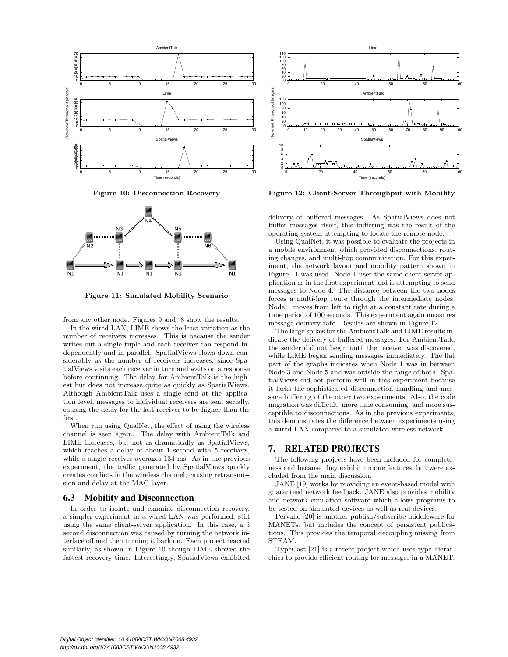





Figure 11: Simulated Mobility Scenario

from any other node. Figures 9 and 8 show the results.

In the wired LAN, LIME shows the least variation as the number of receivers increases. This is because the sender writes out a single tuple and each receiver can respond independently and in parallel. SpatialViews slows down considerably as the number of receivers increases, since SpatialViews visits each receiver in turn and waits on a response before continuing. The delay for AmbientTalk is the highest but does not increase quite as quickly as SpatialViews. Although AmbientTalk uses a single send at the application level, messages to individual receivers are sent serially, causing the delay for the last receiver to be higher than the first.

When run using QualNet, the effect of using the wireless channel is seen again. The delay with AmbientTalk and LIME increases, but not as dramatically as SpatialViews, which reaches a delay of about 1 second with 5 receivers, while a single receiver averages 134 ms. As in the previous experiment, the traffic generated by SpatialViews quickly creates conflicts in the wireless channel, causing retransmission and delay at the MAC layer.

### 6.3 Mobility and Disconnection

In order to isolate and examine disconnection recovery, a simpler experiment in a wired LAN was performed, still using the same client-server application. In this case, a 5 second disconnection was caused by turning the network interface off and then turning it back on. Each project reacted similarly, as shown in Figure 10 though LIME showed the fastest recovery time. Interestingly, SpatialViews exhibited



Figure 12: Client-Server Throughput with Mobility

delivery of buffered messages. As SpatialViews does not buffer messages itself, this buffering was the result of the operating system attempting to locate the remote node.

Using QualNet, it was possible to evaluate the projects in a mobile environment which provided disconnections, routing changes, and multi-hop communication. For this experiment, the network layout and mobility pattern shown in Figure 11 was used. Node 1 user the same client-server application as in the first experiment and is attempting to send messages to Node 4. The distance between the two nodes forces a multi-hop route through the intermediate nodes. Node 1 moves from left to right at a constant rate during a time period of 100 seconds. This experiment again measures message delivery rate. Results are shown in Figure 12.

The large spikes for the AmbientTalk and LIME results indicate the delivery of buffered messages. For AmbientTalk, the sender did not begin until the receiver was discovered, while LIME began sending messages immediately. The flat part of the graphs indicates when Node 1 was in between Node 3 and Node 5 and was outside the range of both. SpatialViews did not perform well in this experiment because it lacks the sophisticated disconnection handling and message buffering of the other two experiments. Also, the code migration was difficult, more time consuming, and more susceptible to disconnections. As in the previous experiments, this demonstrates the difference between experiments using a wired LAN compared to a simulated wireless network.

### 7. RELATED PROJECTS

The following projects have been included for completeness and because they exhibit unique features, but were excluded from the main discussion.

JANE [19] works by providing an event-based model with guaranteed network feedback. JANE also provides mobility and network emulation software which allows programs to be tested on simulated devices as well as real devices.

Pervaho [20] is another publish/subscribe middleware for MANETs, but includes the concept of persistent publications. This provides the temporal decoupling missing from STEAM.

TypeCast [21] is a recent project which uses type hierarchies to provide efficient routing for messages in a MANET.